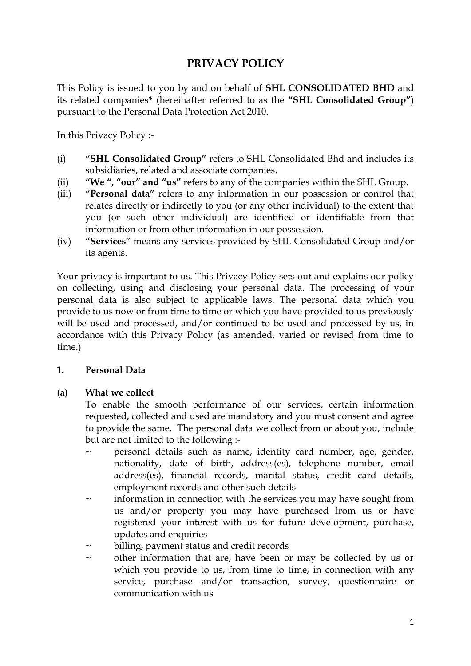# **PRIVACY POLICY**

This Policy is issued to you by and on behalf of **SHL CONSOLIDATED BHD** and its related companies**\*** (hereinafter referred to as the **"SHL Consolidated Group"**) pursuant to the Personal Data Protection Act 2010.

In this Privacy Policy :-

- (i) **"SHL Consolidated Group"** refers to SHL Consolidated Bhd and includes its subsidiaries, related and associate companies.
- (ii) **"We ", "our" and "us"** refers to any of the companies within the SHL Group.
- (iii) **"Personal data"** refers to any information in our possession or control that relates directly or indirectly to you (or any other individual) to the extent that you (or such other individual) are identified or identifiable from that information or from other information in our possession.
- (iv) **"Services"** means any services provided by SHL Consolidated Group and/or its agents.

Your privacy is important to us. This Privacy Policy sets out and explains our policy on collecting, using and disclosing your personal data. The processing of your personal data is also subject to applicable laws. The personal data which you provide to us now or from time to time or which you have provided to us previously will be used and processed, and/or continued to be used and processed by us, in accordance with this Privacy Policy (as amended, varied or revised from time to time.)

## **1. Personal Data**

## **(a) What we collect**

To enable the smooth performance of our services, certain information requested, collected and used are mandatory and you must consent and agree to provide the same. The personal data we collect from or about you, include but are not limited to the following :-

- personal details such as name, identity card number, age, gender, nationality, date of birth, address(es), telephone number, email address(es), financial records, marital status, credit card details, employment records and other such details
- $\sim$  information in connection with the services you may have sought from us and/or property you may have purchased from us or have registered your interest with us for future development, purchase, updates and enquiries
- billing, payment status and credit records
- other information that are, have been or may be collected by us or which you provide to us, from time to time, in connection with any service, purchase and/or transaction, survey, questionnaire or communication with us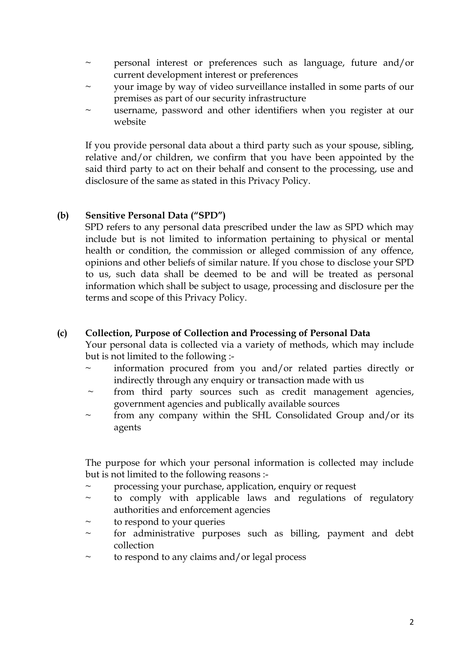- ~ personal interest or preferences such as language, future and/or current development interest or preferences
- ~ your image by way of video surveillance installed in some parts of our premises as part of our security infrastructure
- username, password and other identifiers when you register at our website

If you provide personal data about a third party such as your spouse, sibling, relative and/or children, we confirm that you have been appointed by the said third party to act on their behalf and consent to the processing, use and disclosure of the same as stated in this Privacy Policy.

## **(b) Sensitive Personal Data ("SPD")**

SPD refers to any personal data prescribed under the law as SPD which may include but is not limited to information pertaining to physical or mental health or condition, the commission or alleged commission of any offence, opinions and other beliefs of similar nature. If you chose to disclose your SPD to us, such data shall be deemed to be and will be treated as personal information which shall be subject to usage, processing and disclosure per the terms and scope of this Privacy Policy.

#### **(c) Collection, Purpose of Collection and Processing of Personal Data**

Your personal data is collected via a variety of methods, which may include but is not limited to the following :-

- information procured from you and/or related parties directly or indirectly through any enquiry or transaction made with us
- $\sim$  from third party sources such as credit management agencies, government agencies and publically available sources
- from any company within the SHL Consolidated Group and/or its agents

The purpose for which your personal information is collected may include but is not limited to the following reasons :-

- processing your purchase, application, enquiry or request
- $\sim$  to comply with applicable laws and regulations of regulatory authorities and enforcement agencies
- to respond to your queries
- $\sim$  for administrative purposes such as billing, payment and debt collection
- to respond to any claims and/or legal process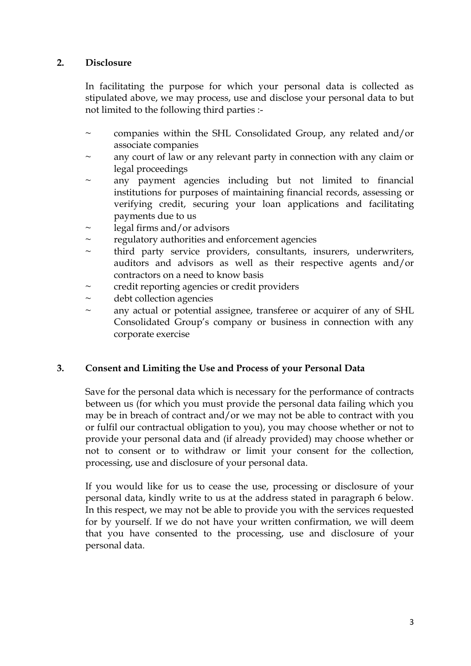## **2. Disclosure**

In facilitating the purpose for which your personal data is collected as stipulated above, we may process, use and disclose your personal data to but not limited to the following third parties :-

- companies within the SHL Consolidated Group, any related and/or associate companies
- any court of law or any relevant party in connection with any claim or legal proceedings
- any payment agencies including but not limited to financial institutions for purposes of maintaining financial records, assessing or verifying credit, securing your loan applications and facilitating payments due to us
- $\sim$  legal firms and/or advisors
- ~ regulatory authorities and enforcement agencies
- $\sim$  third party service providers, consultants, insurers, underwriters, auditors and advisors as well as their respective agents and/or contractors on a need to know basis
- credit reporting agencies or credit providers
- ~ debt collection agencies
- ~ any actual or potential assignee, transferee or acquirer of any of SHL Consolidated Group's company or business in connection with any corporate exercise

#### **3. Consent and Limiting the Use and Process of your Personal Data**

Save for the personal data which is necessary for the performance of contracts between us (for which you must provide the personal data failing which you may be in breach of contract and/or we may not be able to contract with you or fulfil our contractual obligation to you), you may choose whether or not to provide your personal data and (if already provided) may choose whether or not to consent or to withdraw or limit your consent for the collection, processing, use and disclosure of your personal data.

If you would like for us to cease the use, processing or disclosure of your personal data, kindly write to us at the address stated in paragraph 6 below. In this respect, we may not be able to provide you with the services requested for by yourself. If we do not have your written confirmation, we will deem that you have consented to the processing, use and disclosure of your personal data.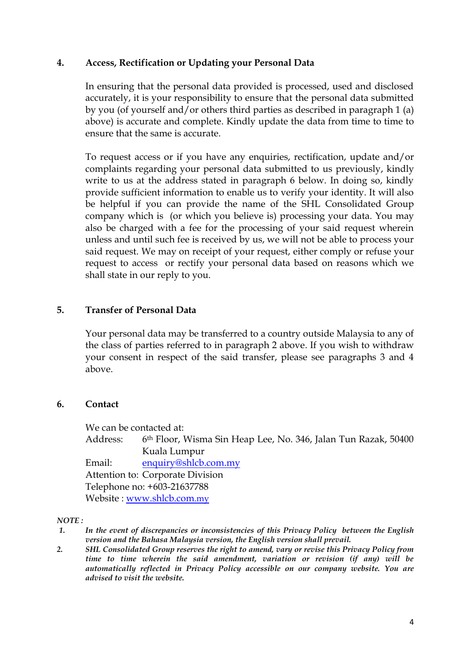### **4. Access, Rectification or Updating your Personal Data**

In ensuring that the personal data provided is processed, used and disclosed accurately, it is your responsibility to ensure that the personal data submitted by you (of yourself and/or others third parties as described in paragraph 1 (a) above) is accurate and complete. Kindly update the data from time to time to ensure that the same is accurate.

To request access or if you have any enquiries, rectification, update and/or complaints regarding your personal data submitted to us previously, kindly write to us at the address stated in paragraph 6 below. In doing so, kindly provide sufficient information to enable us to verify your identity. It will also be helpful if you can provide the name of the SHL Consolidated Group company which is (or which you believe is) processing your data. You may also be charged with a fee for the processing of your said request wherein unless and until such fee is received by us, we will not be able to process your said request. We may on receipt of your request, either comply or refuse your request to access or rectify your personal data based on reasons which we shall state in our reply to you.

## **5. Transfer of Personal Data**

Your personal data may be transferred to a country outside Malaysia to any of the class of parties referred to in paragraph 2 above. If you wish to withdraw your consent in respect of the said transfer, please see paragraphs 3 and 4 above.

#### **6. Contact**

We can be contacted at:

Address: 6th Floor, Wisma Sin Heap Lee, No. 346, Jalan Tun Razak, 50400 Kuala Lumpur

Email: [enquiry@shlcb.com.my](mailto:enquiries@shlcb.com.my) Attention to: Corporate Division Telephone no: +603-21637788 Website : [www.shlcb.com](http://www.shlcb.com.my/).my

#### *NOTE :*

- *1. In the event of discrepancies or inconsistencies of this Privacy Policy between the English version and the Bahasa Malaysia version, the English version shall prevail.*
- *2. SHL Consolidated Group reserves the right to amend, vary or revise this Privacy Policy from time to time wherein the said amendment, variation or revision (if any) will be automatically reflected in Privacy Policy accessible on our company website. You are advised to visit the website.*